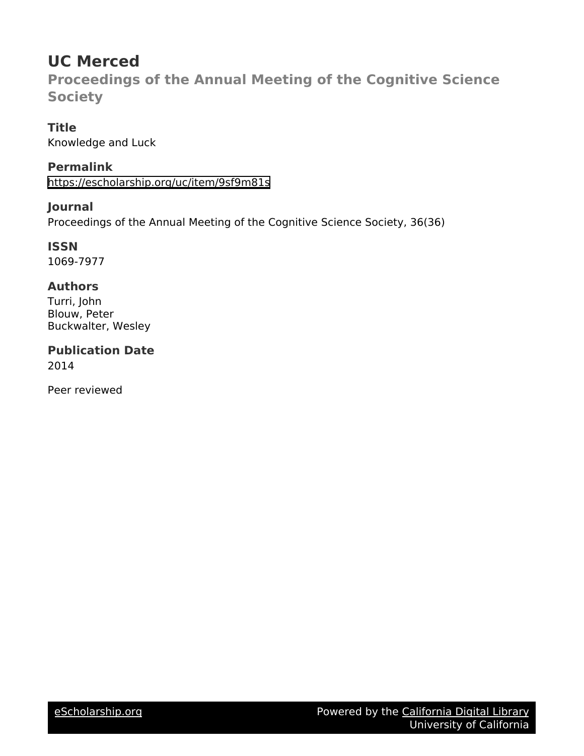# **UC Merced**

**Proceedings of the Annual Meeting of the Cognitive Science Society**

**Title** Knowledge and Luck

**Permalink** <https://escholarship.org/uc/item/9sf9m81s>

**Journal** Proceedings of the Annual Meeting of the Cognitive Science Society, 36(36)

**ISSN** 1069-7977

# **Authors**

Turri, John Blouw, Peter Buckwalter, Wesley

**Publication Date** 2014

Peer reviewed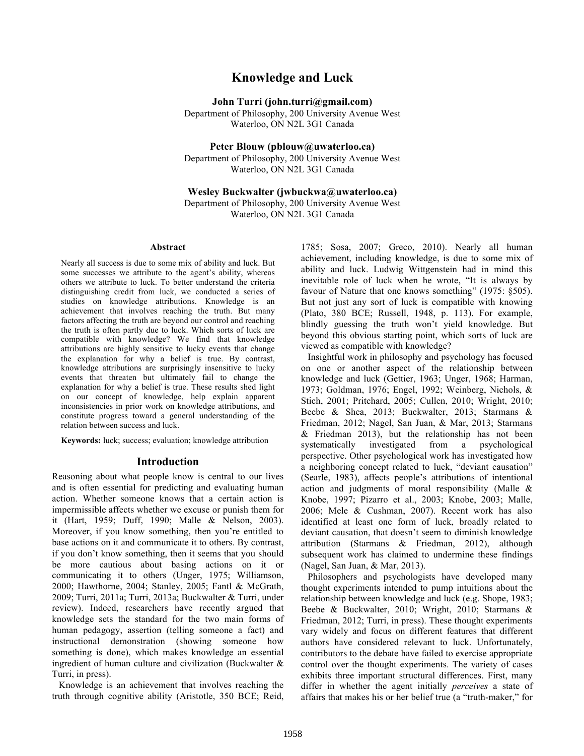# **Knowledge and Luck**

**John Turri (john.turri@gmail.com)**

Department of Philosophy, 200 University Avenue West Waterloo, ON N2L 3G1 Canada

**Peter Blouw (pblouw@uwaterloo.ca)**

Department of Philosophy, 200 University Avenue West Waterloo, ON N2L 3G1 Canada

#### **Wesley Buckwalter (jwbuckwa@uwaterloo.ca)**

Department of Philosophy, 200 University Avenue West Waterloo, ON N2L 3G1 Canada

#### **Abstract**

Nearly all success is due to some mix of ability and luck. But some successes we attribute to the agent's ability, whereas others we attribute to luck. To better understand the criteria distinguishing credit from luck, we conducted a series of studies on knowledge attributions. Knowledge is an achievement that involves reaching the truth. But many factors affecting the truth are beyond our control and reaching the truth is often partly due to luck. Which sorts of luck are compatible with knowledge? We find that knowledge attributions are highly sensitive to lucky events that change the explanation for why a belief is true. By contrast, knowledge attributions are surprisingly insensitive to lucky events that threaten but ultimately fail to change the explanation for why a belief is true. These results shed light on our concept of knowledge, help explain apparent inconsistencies in prior work on knowledge attributions, and constitute progress toward a general understanding of the relation between success and luck.

**Keywords:** luck; success; evaluation; knowledge attribution

#### **Introduction**

Reasoning about what people know is central to our lives and is often essential for predicting and evaluating human action. Whether someone knows that a certain action is impermissible affects whether we excuse or punish them for it (Hart, 1959; Duff, 1990; Malle & Nelson, 2003). Moreover, if you know something, then you're entitled to base actions on it and communicate it to others. By contrast, if you don't know something, then it seems that you should be more cautious about basing actions on it or communicating it to others (Unger, 1975; Williamson, 2000; Hawthorne, 2004; Stanley, 2005; Fantl & McGrath, 2009; Turri, 2011a; Turri, 2013a; Buckwalter & Turri, under review). Indeed, researchers have recently argued that knowledge sets the standard for the two main forms of human pedagogy, assertion (telling someone a fact) and instructional demonstration (showing someone how something is done), which makes knowledge an essential ingredient of human culture and civilization (Buckwalter & Turri, in press).

Knowledge is an achievement that involves reaching the truth through cognitive ability (Aristotle, 350 BCE; Reid,

1785; Sosa, 2007; Greco, 2010). Nearly all human achievement, including knowledge, is due to some mix of ability and luck. Ludwig Wittgenstein had in mind this inevitable role of luck when he wrote, "It is always by favour of Nature that one knows something" (1975: §505). But not just any sort of luck is compatible with knowing (Plato, 380 BCE; Russell, 1948, p. 113). For example, blindly guessing the truth won't yield knowledge. But beyond this obvious starting point, which sorts of luck are viewed as compatible with knowledge?

Insightful work in philosophy and psychology has focused on one or another aspect of the relationship between knowledge and luck (Gettier, 1963; Unger, 1968; Harman, 1973; Goldman, 1976; Engel, 1992; Weinberg, Nichols, & Stich, 2001; Pritchard, 2005; Cullen, 2010; Wright, 2010; Beebe & Shea, 2013; Buckwalter, 2013; Starmans & Friedman, 2012; Nagel, San Juan, & Mar, 2013; Starmans & Friedman 2013), but the relationship has not been systematically investigated from a psychological perspective. Other psychological work has investigated how a neighboring concept related to luck, "deviant causation" (Searle, 1983), affects people's attributions of intentional action and judgments of moral responsibility (Malle & Knobe, 1997; Pizarro et al., 2003; Knobe, 2003; Malle, 2006; Mele & Cushman, 2007). Recent work has also identified at least one form of luck, broadly related to deviant causation, that doesn't seem to diminish knowledge attribution (Starmans & Friedman, 2012), although subsequent work has claimed to undermine these findings (Nagel, San Juan, & Mar, 2013).

Philosophers and psychologists have developed many thought experiments intended to pump intuitions about the relationship between knowledge and luck (e.g. Shope, 1983; Beebe & Buckwalter, 2010; Wright, 2010; Starmans & Friedman, 2012; Turri, in press). These thought experiments vary widely and focus on different features that different authors have considered relevant to luck. Unfortunately, contributors to the debate have failed to exercise appropriate control over the thought experiments. The variety of cases exhibits three important structural differences. First, many differ in whether the agent initially *perceives* a state of affairs that makes his or her belief true (a "truth-maker," for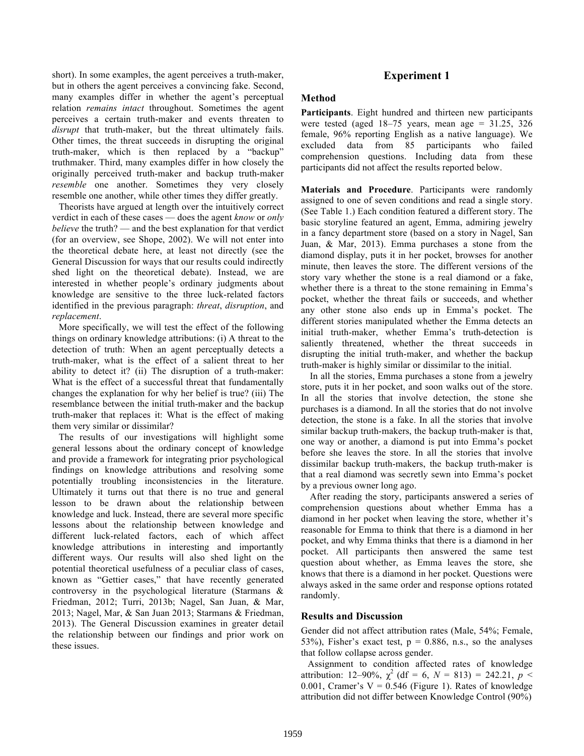short). In some examples, the agent perceives a truth-maker, but in others the agent perceives a convincing fake. Second, many examples differ in whether the agent's perceptual relation *remains intact* throughout. Sometimes the agent perceives a certain truth-maker and events threaten to *disrupt* that truth-maker, but the threat ultimately fails. Other times, the threat succeeds in disrupting the original truth-maker, which is then replaced by a "backup" truthmaker. Third, many examples differ in how closely the originally perceived truth-maker and backup truth-maker *resemble* one another. Sometimes they very closely resemble one another, while other times they differ greatly.

Theorists have argued at length over the intuitively correct verdict in each of these cases — does the agent *know* or *only believe* the truth? — and the best explanation for that verdict (for an overview, see Shope, 2002). We will not enter into the theoretical debate here, at least not directly (see the General Discussion for ways that our results could indirectly shed light on the theoretical debate). Instead, we are interested in whether people's ordinary judgments about knowledge are sensitive to the three luck-related factors identified in the previous paragraph: *threat*, *disruption*, and *replacement*.

More specifically, we will test the effect of the following things on ordinary knowledge attributions: (i) A threat to the detection of truth: When an agent perceptually detects a truth-maker, what is the effect of a salient threat to her ability to detect it? (ii) The disruption of a truth-maker: What is the effect of a successful threat that fundamentally changes the explanation for why her belief is true? (iii) The resemblance between the initial truth-maker and the backup truth-maker that replaces it: What is the effect of making them very similar or dissimilar?

The results of our investigations will highlight some general lessons about the ordinary concept of knowledge and provide a framework for integrating prior psychological findings on knowledge attributions and resolving some potentially troubling inconsistencies in the literature. Ultimately it turns out that there is no true and general lesson to be drawn about the relationship between knowledge and luck. Instead, there are several more specific lessons about the relationship between knowledge and different luck-related factors, each of which affect knowledge attributions in interesting and importantly different ways. Our results will also shed light on the potential theoretical usefulness of a peculiar class of cases, known as "Gettier cases," that have recently generated controversy in the psychological literature (Starmans & Friedman, 2012; Turri, 2013b; Nagel, San Juan, & Mar, 2013; Nagel, Mar, & San Juan 2013; Starmans & Friedman, 2013). The General Discussion examines in greater detail the relationship between our findings and prior work on these issues.

## **Experiment 1**

#### **Method**

**Participants**. Eight hundred and thirteen new participants were tested (aged  $18-75$  years, mean age = 31.25, 326 female, 96% reporting English as a native language). We excluded data from 85 participants who failed comprehension questions. Including data from these participants did not affect the results reported below.

**Materials and Procedure**. Participants were randomly assigned to one of seven conditions and read a single story. (See Table 1.) Each condition featured a different story. The basic storyline featured an agent, Emma, admiring jewelry in a fancy department store (based on a story in Nagel, San Juan, & Mar, 2013). Emma purchases a stone from the diamond display, puts it in her pocket, browses for another minute, then leaves the store. The different versions of the story vary whether the stone is a real diamond or a fake, whether there is a threat to the stone remaining in Emma's pocket, whether the threat fails or succeeds, and whether any other stone also ends up in Emma's pocket. The different stories manipulated whether the Emma detects an initial truth-maker, whether Emma's truth-detection is saliently threatened, whether the threat succeeds in disrupting the initial truth-maker, and whether the backup truth-maker is highly similar or dissimilar to the initial.

In all the stories, Emma purchases a stone from a jewelry store, puts it in her pocket, and soon walks out of the store. In all the stories that involve detection, the stone she purchases is a diamond. In all the stories that do not involve detection, the stone is a fake. In all the stories that involve similar backup truth-makers, the backup truth-maker is that, one way or another, a diamond is put into Emma's pocket before she leaves the store. In all the stories that involve dissimilar backup truth-makers, the backup truth-maker is that a real diamond was secretly sewn into Emma's pocket by a previous owner long ago.

After reading the story, participants answered a series of comprehension questions about whether Emma has a diamond in her pocket when leaving the store, whether it's reasonable for Emma to think that there is a diamond in her pocket, and why Emma thinks that there is a diamond in her pocket. All participants then answered the same test question about whether, as Emma leaves the store, she knows that there is a diamond in her pocket. Questions were always asked in the same order and response options rotated randomly.

#### **Results and Discussion**

Gender did not affect attribution rates (Male, 54%; Female, 53%), Fisher's exact test,  $p = 0.886$ , n.s., so the analyses that follow collapse across gender.

Assignment to condition affected rates of knowledge attribution: 12–90%,  $\chi^2$  (df = 6,  $N = 813$ ) = 242.21,  $p <$ 0.001, Cramer's  $V = 0.546$  (Figure 1). Rates of knowledge attribution did not differ between Knowledge Control (90%)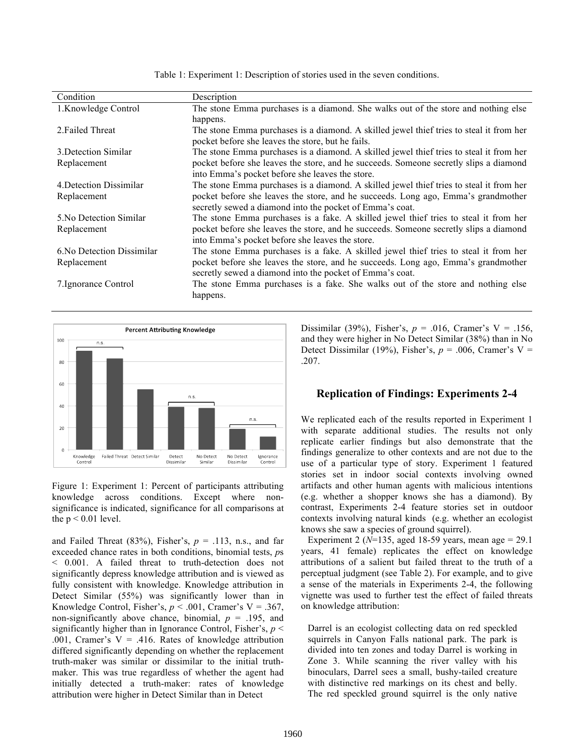| Condition                  | Description                                                                             |
|----------------------------|-----------------------------------------------------------------------------------------|
| 1.Knowledge Control        | The stone Emma purchases is a diamond. She walks out of the store and nothing else      |
|                            | happens.                                                                                |
| 2. Failed Threat           | The stone Emma purchases is a diamond. A skilled jewel thief tries to steal it from her |
|                            | pocket before she leaves the store, but he fails.                                       |
| 3. Detection Similar       | The stone Emma purchases is a diamond. A skilled jewel thief tries to steal it from her |
| Replacement                | pocket before she leaves the store, and he succeeds. Someone secretly slips a diamond   |
|                            | into Emma's pocket before she leaves the store.                                         |
| 4. Detection Dissimilar    | The stone Emma purchases is a diamond. A skilled jewel thief tries to steal it from her |
| Replacement                | pocket before she leaves the store, and he succeeds. Long ago, Emma's grandmother       |
|                            | secretly sewed a diamond into the pocket of Emma's coat.                                |
| 5. No Detection Similar    | The stone Emma purchases is a fake. A skilled jewel thief tries to steal it from her    |
| Replacement                | pocket before she leaves the store, and he succeeds. Someone secretly slips a diamond   |
|                            | into Emma's pocket before she leaves the store.                                         |
| 6. No Detection Dissimilar | The stone Emma purchases is a fake. A skilled jewel thief tries to steal it from her    |
| Replacement                | pocket before she leaves the store, and he succeeds. Long ago, Emma's grandmother       |
|                            | secretly sewed a diamond into the pocket of Emma's coat.                                |
| 7. Ignorance Control       | The stone Emma purchases is a fake. She walks out of the store and nothing else         |
|                            | happens.                                                                                |





Figure 1: Experiment 1: Percent of participants attributing knowledge across conditions. Except where nonsignificance is indicated, significance for all comparisons at the  $p < 0.01$  level.

and Failed Threat (83%), Fisher's,  $p = .113$ , n.s., and far exceeded chance rates in both conditions, binomial tests, *p*s < 0.001. A failed threat to truth-detection does not significantly depress knowledge attribution and is viewed as fully consistent with knowledge. Knowledge attribution in Detect Similar (55%) was significantly lower than in Knowledge Control, Fisher's,  $p < .001$ , Cramer's V = .367, non-significantly above chance, binomial,  $p = .195$ , and significantly higher than in Ignorance Control, Fisher's, *p* < .001, Cramer's  $V = .416$ . Rates of knowledge attribution differed significantly depending on whether the replacement truth-maker was similar or dissimilar to the initial truthmaker. This was true regardless of whether the agent had initially detected a truth-maker: rates of knowledge attribution were higher in Detect Similar than in Detect

Dissimilar (39%), Fisher's,  $p = .016$ , Cramer's V = .156, and they were higher in No Detect Similar (38%) than in No Detect Dissimilar (19%), Fisher's,  $p = .006$ , Cramer's V = .207.

## **Replication of Findings: Experiments 2-4**

We replicated each of the results reported in Experiment 1 with separate additional studies. The results not only replicate earlier findings but also demonstrate that the findings generalize to other contexts and are not due to the use of a particular type of story. Experiment 1 featured stories set in indoor social contexts involving owned artifacts and other human agents with malicious intentions (e.g. whether a shopper knows she has a diamond). By contrast, Experiments 2-4 feature stories set in outdoor contexts involving natural kinds (e.g. whether an ecologist knows she saw a species of ground squirrel).

Experiment 2 ( $N=135$ , aged 18-59 years, mean age = 29.1 years, 41 female) replicates the effect on knowledge attributions of a salient but failed threat to the truth of a perceptual judgment (see Table 2). For example, and to give a sense of the materials in Experiments 2-4, the following vignette was used to further test the effect of failed threats on knowledge attribution:

Darrel is an ecologist collecting data on red speckled squirrels in Canyon Falls national park. The park is divided into ten zones and today Darrel is working in Zone 3. While scanning the river valley with his binoculars, Darrel sees a small, bushy-tailed creature with distinctive red markings on its chest and belly. The red speckled ground squirrel is the only native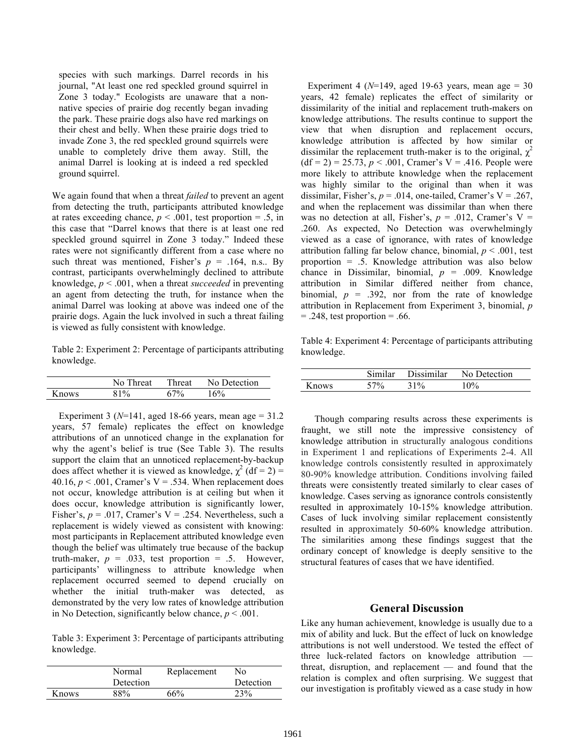species with such markings. Darrel records in his journal, "At least one red speckled ground squirrel in Zone 3 today." Ecologists are unaware that a nonnative species of prairie dog recently began invading the park. These prairie dogs also have red markings on their chest and belly. When these prairie dogs tried to invade Zone 3, the red speckled ground squirrels were unable to completely drive them away. Still, the animal Darrel is looking at is indeed a red speckled ground squirrel.

We again found that when a threat *failed* to prevent an agent from detecting the truth, participants attributed knowledge at rates exceeding chance,  $p < .001$ , test proportion = .5, in this case that "Darrel knows that there is at least one red speckled ground squirrel in Zone 3 today." Indeed these rates were not significantly different from a case where no such threat was mentioned, Fisher's  $p = .164$ , n.s.. By contrast, participants overwhelmingly declined to attribute knowledge, *p* < .001, when a threat *succeeded* in preventing an agent from detecting the truth, for instance when the animal Darrel was looking at above was indeed one of the prairie dogs. Again the luck involved in such a threat failing is viewed as fully consistent with knowledge.

Table 2: Experiment 2: Percentage of participants attributing knowledge.

|       | No Threat | Threat | No Detection |
|-------|-----------|--------|--------------|
| Knows | 81%       | 67%    | 16%          |

Experiment 3 ( $N=141$ , aged 18-66 years, mean age = 31.2 years, 57 female) replicates the effect on knowledge attributions of an unnoticed change in the explanation for why the agent's belief is true (See Table 3). The results support the claim that an unnoticed replacement-by-backup does affect whether it is viewed as knowledge,  $\chi^2$  (df = 2) = 40.16,  $p < .001$ , Cramer's V = .534. When replacement does not occur, knowledge attribution is at ceiling but when it does occur, knowledge attribution is significantly lower, Fisher's,  $p = .017$ , Cramer's  $V = .254$ . Nevertheless, such a replacement is widely viewed as consistent with knowing: most participants in Replacement attributed knowledge even though the belief was ultimately true because of the backup truth-maker,  $p = .033$ , test proportion = .5. However, participants' willingness to attribute knowledge when replacement occurred seemed to depend crucially on whether the initial truth-maker was detected, as demonstrated by the very low rates of knowledge attribution in No Detection, significantly below chance,  $p < .001$ .

Table 3: Experiment 3: Percentage of participants attributing knowledge.

|       | Normal<br>Detection | Replacement | Nο<br>Detection |
|-------|---------------------|-------------|-----------------|
| Knows | 88%                 | 66%         | 23 <sup>%</sup> |

Experiment 4 ( $N=149$ , aged 19-63 years, mean age = 30 years, 42 female) replicates the effect of similarity or dissimilarity of the initial and replacement truth-makers on knowledge attributions. The results continue to support the view that when disruption and replacement occurs, knowledge attribution is affected by how similar or dissimilar the replacement truth-maker is to the original,  $\chi^2$  $(df = 2) = 25.73, p < .001, Cramer's V = .416. People were$ more likely to attribute knowledge when the replacement was highly similar to the original than when it was dissimilar, Fisher's,  $p = .014$ , one-tailed, Cramer's V = .267, and when the replacement was dissimilar than when there was no detection at all, Fisher's,  $p = .012$ , Cramer's V = .260. As expected, No Detection was overwhelmingly viewed as a case of ignorance, with rates of knowledge attribution falling far below chance, binomial,  $p < .001$ , test proportion = .5. Knowledge attribution was also below chance in Dissimilar, binomial,  $p = .009$ . Knowledge attribution in Similar differed neither from chance, binomial,  $p = .392$ , nor from the rate of knowledge attribution in Replacement from Experiment 3, binomial, *p*  $= .248$ , test proportion  $= .66$ .

Table 4: Experiment 4: Percentage of participants attributing knowledge.

|       | Similar | Dissimilar | No Detection |
|-------|---------|------------|--------------|
| Knows | 57%     | 31%        | 10%          |

Though comparing results across these experiments is fraught, we still note the impressive consistency of knowledge attribution in structurally analogous conditions in Experiment 1 and replications of Experiments 2-4. All knowledge controls consistently resulted in approximately 80-90% knowledge attribution. Conditions involving failed threats were consistently treated similarly to clear cases of knowledge. Cases serving as ignorance controls consistently resulted in approximately 10-15% knowledge attribution. Cases of luck involving similar replacement consistently resulted in approximately 50-60% knowledge attribution. The similarities among these findings suggest that the ordinary concept of knowledge is deeply sensitive to the structural features of cases that we have identified.

## **General Discussion**

Like any human achievement, knowledge is usually due to a mix of ability and luck. But the effect of luck on knowledge attributions is not well understood. We tested the effect of three luck-related factors on knowledge attribution threat, disruption, and replacement — and found that the relation is complex and often surprising. We suggest that our investigation is profitably viewed as a case study in how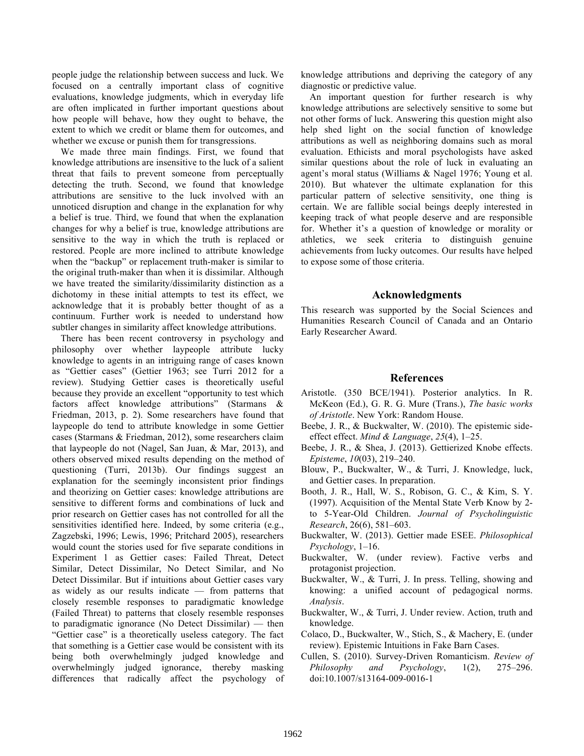people judge the relationship between success and luck. We focused on a centrally important class of cognitive evaluations, knowledge judgments, which in everyday life are often implicated in further important questions about how people will behave, how they ought to behave, the extent to which we credit or blame them for outcomes, and whether we excuse or punish them for transgressions.

We made three main findings. First, we found that knowledge attributions are insensitive to the luck of a salient threat that fails to prevent someone from perceptually detecting the truth. Second, we found that knowledge attributions are sensitive to the luck involved with an unnoticed disruption and change in the explanation for why a belief is true. Third, we found that when the explanation changes for why a belief is true, knowledge attributions are sensitive to the way in which the truth is replaced or restored. People are more inclined to attribute knowledge when the "backup" or replacement truth-maker is similar to the original truth-maker than when it is dissimilar. Although we have treated the similarity/dissimilarity distinction as a dichotomy in these initial attempts to test its effect, we acknowledge that it is probably better thought of as a continuum. Further work is needed to understand how subtler changes in similarity affect knowledge attributions.

There has been recent controversy in psychology and philosophy over whether laypeople attribute lucky knowledge to agents in an intriguing range of cases known as "Gettier cases" (Gettier 1963; see Turri 2012 for a review). Studying Gettier cases is theoretically useful because they provide an excellent "opportunity to test which factors affect knowledge attributions" (Starmans & Friedman, 2013, p. 2). Some researchers have found that laypeople do tend to attribute knowledge in some Gettier cases (Starmans & Friedman, 2012), some researchers claim that laypeople do not (Nagel, San Juan, & Mar, 2013), and others observed mixed results depending on the method of questioning (Turri, 2013b). Our findings suggest an explanation for the seemingly inconsistent prior findings and theorizing on Gettier cases: knowledge attributions are sensitive to different forms and combinations of luck and prior research on Gettier cases has not controlled for all the sensitivities identified here. Indeed, by some criteria (e.g., Zagzebski, 1996; Lewis, 1996; Pritchard 2005), researchers would count the stories used for five separate conditions in Experiment 1 as Gettier cases: Failed Threat, Detect Similar, Detect Dissimilar, No Detect Similar, and No Detect Dissimilar. But if intuitions about Gettier cases vary as widely as our results indicate — from patterns that closely resemble responses to paradigmatic knowledge (Failed Threat) to patterns that closely resemble responses to paradigmatic ignorance (No Detect Dissimilar) — then "Gettier case" is a theoretically useless category. The fact that something is a Gettier case would be consistent with its being both overwhelmingly judged knowledge and overwhelmingly judged ignorance, thereby masking differences that radically affect the psychology of

knowledge attributions and depriving the category of any diagnostic or predictive value.

An important question for further research is why knowledge attributions are selectively sensitive to some but not other forms of luck. Answering this question might also help shed light on the social function of knowledge attributions as well as neighboring domains such as moral evaluation. Ethicists and moral psychologists have asked similar questions about the role of luck in evaluating an agent's moral status (Williams & Nagel 1976; Young et al. 2010). But whatever the ultimate explanation for this particular pattern of selective sensitivity, one thing is certain. We are fallible social beings deeply interested in keeping track of what people deserve and are responsible for. Whether it's a question of knowledge or morality or athletics, we seek criteria to distinguish genuine achievements from lucky outcomes. Our results have helped to expose some of those criteria.

#### **Acknowledgments**

This research was supported by the Social Sciences and Humanities Research Council of Canada and an Ontario Early Researcher Award.

#### **References**

- Aristotle. (350 BCE/1941). Posterior analytics. In R. McKeon (Ed.), G. R. G. Mure (Trans.), *The basic works of Aristotle*. New York: Random House.
- Beebe, J. R., & Buckwalter, W. (2010). The epistemic sideeffect effect. *Mind & Language*, *25*(4), 1–25.
- Beebe, J. R., & Shea, J. (2013). Gettierized Knobe effects. *Episteme*, *10*(03), 219–240.
- Blouw, P., Buckwalter, W., & Turri, J. Knowledge, luck, and Gettier cases. In preparation.
- Booth, J. R., Hall, W. S., Robison, G. C., & Kim, S. Y. (1997). Acquisition of the Mental State Verb Know by 2 to 5-Year-Old Children. *Journal of Psycholinguistic Research*, 26(6), 581–603.
- Buckwalter, W. (2013). Gettier made ESEE. *Philosophical Psychology*, 1–16.
- Buckwalter, W. (under review). Factive verbs and protagonist projection.
- Buckwalter, W., & Turri, J. In press. Telling, showing and knowing: a unified account of pedagogical norms. *Analysis*.
- Buckwalter, W., & Turri, J. Under review. Action, truth and knowledge.
- Colaco, D., Buckwalter, W., Stich, S., & Machery, E. (under review). Epistemic Intuitions in Fake Barn Cases.
- Cullen, S. (2010). Survey-Driven Romanticism. *Review of Philosophy and Psychology*, 1(2), 275–296. doi:10.1007/s13164-009-0016-1